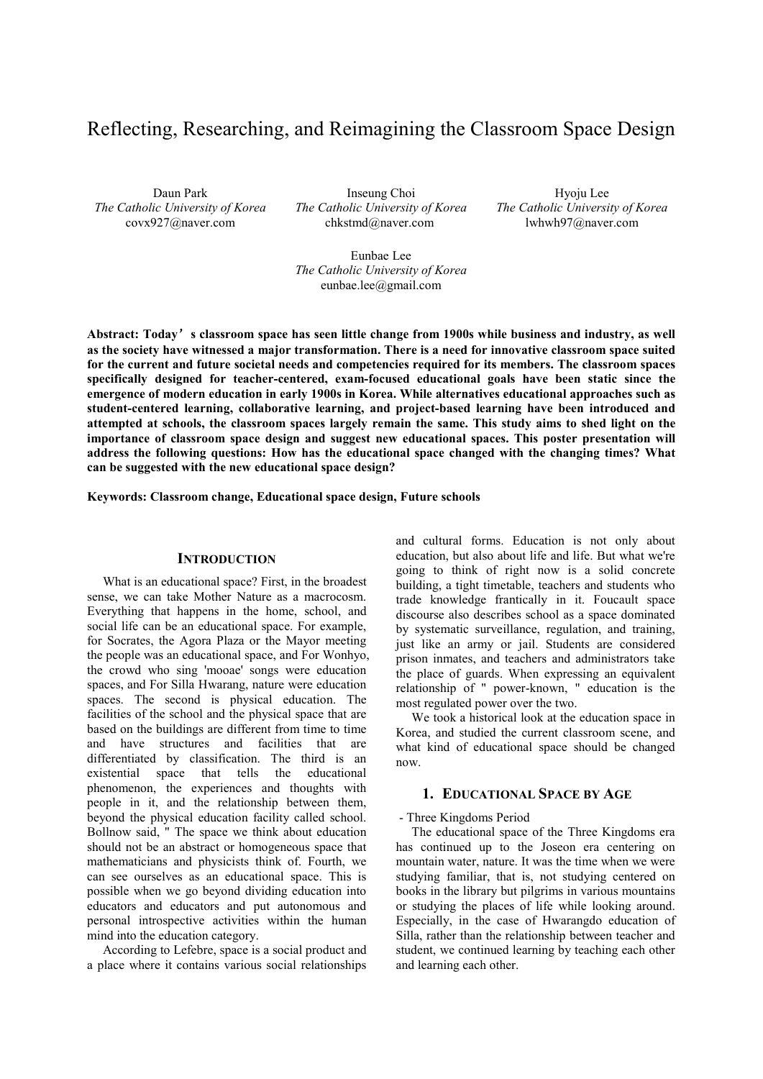# Reflecting, Researching, and Reimagining the Classroom Space Design

Daun Park *The Catholic University of Korea* covx927@naver.com

Inseung Choi *The Catholic University of Korea* chkstmd@naver.com

Hyoju Lee *The Catholic University of Korea* lwhwh97@naver.com

Eunbae Lee *The Catholic University of Korea* eunbae.lee@gmail.com

**Abstract: Today**'**s classroom space has seen little change from 1900s while business and industry, as well as the society have witnessed a major transformation. There is a need for innovative classroom space suited for the current and future societal needs and competencies required for its members. The classroom spaces specifically designed for teacher-centered, exam-focused educational goals have been static since the emergence of modern education in early 1900s in Korea. While alternatives educational approaches such as student-centered learning, collaborative learning, and project-based learning have been introduced and attempted at schools, the classroom spaces largely remain the same. This study aims to shed light on the importance of classroom space design and suggest new educational spaces. This poster presentation will address the following questions: How has the educational space changed with the changing times? What can be suggested with the new educational space design?** 

**Keywords: Classroom change, Educational space design, Future schools** 

## **INTRODUCTION**

What is an educational space? First, in the broadest sense, we can take Mother Nature as a macrocosm. Everything that happens in the home, school, and social life can be an educational space. For example, for Socrates, the Agora Plaza or the Mayor meeting the people was an educational space, and For Wonhyo, the crowd who sing 'mooae' songs were education spaces, and For Silla Hwarang, nature were education spaces. The second is physical education. The facilities of the school and the physical space that are based on the buildings are different from time to time and have structures and facilities that are differentiated by classification. The third is an existential space that tells the educational phenomenon, the experiences and thoughts with people in it, and the relationship between them, beyond the physical education facility called school. Bollnow said, " The space we think about education should not be an abstract or homogeneous space that mathematicians and physicists think of. Fourth, we can see ourselves as an educational space. This is possible when we go beyond dividing education into educators and educators and put autonomous and personal introspective activities within the human mind into the education category.

According to Lefebre, space is a social product and a place where it contains various social relationships

and cultural forms. Education is not only about education, but also about life and life. But what we're going to think of right now is a solid concrete building, a tight timetable, teachers and students who trade knowledge frantically in it. Foucault space discourse also describes school as a space dominated by systematic surveillance, regulation, and training, just like an army or jail. Students are considered prison inmates, and teachers and administrators take the place of guards. When expressing an equivalent relationship of " power-known, " education is the most regulated power over the two.

We took a historical look at the education space in Korea, and studied the current classroom scene, and what kind of educational space should be changed now.

#### **1. EDUCATIONAL SPACE BY AGE**

#### - Three Kingdoms Period

The educational space of the Three Kingdoms era has continued up to the Joseon era centering on mountain water, nature. It was the time when we were studying familiar, that is, not studying centered on books in the library but pilgrims in various mountains or studying the places of life while looking around. Especially, in the case of Hwarangdo education of Silla, rather than the relationship between teacher and student, we continued learning by teaching each other and learning each other.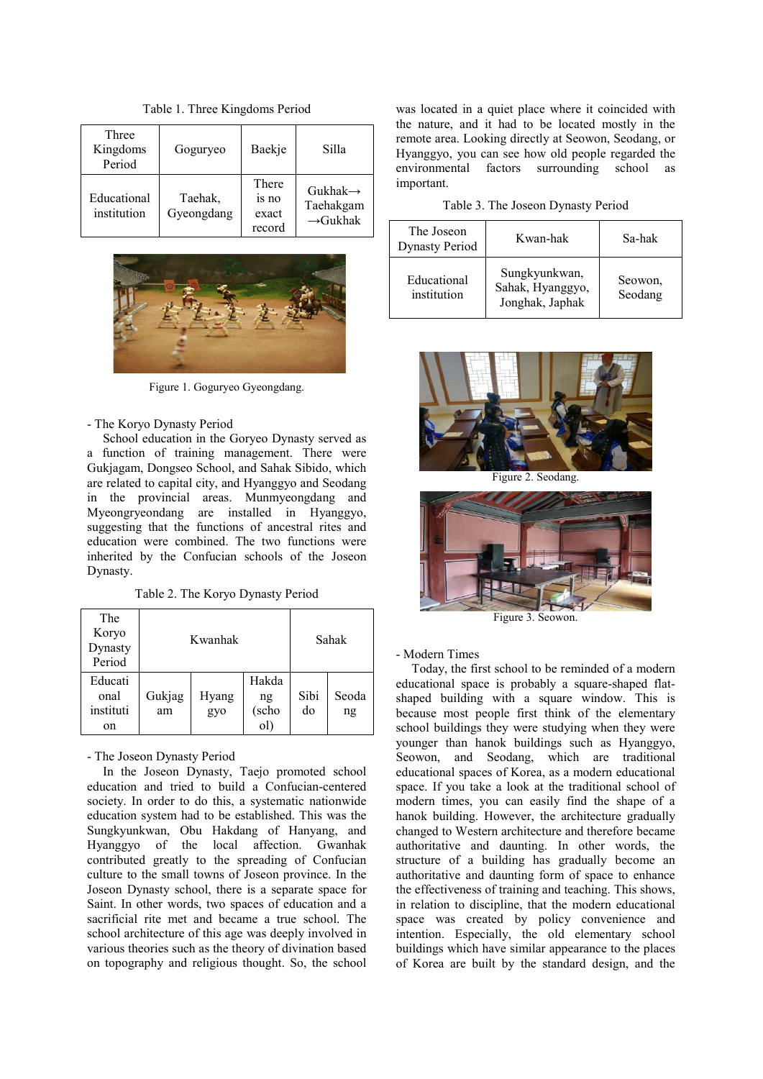Table 1. Three Kingdoms Period

| Three<br>Kingdoms<br>Period | Goguryeo              | Baekje                            | Silla                                                     |
|-----------------------------|-----------------------|-----------------------------------|-----------------------------------------------------------|
| Educational<br>institution  | Taehak,<br>Gyeongdang | There<br>is no<br>exact<br>record | Gukhak $\rightarrow$<br>Taehakgam<br>$\rightarrow$ Gukhak |



Figure 1. Goguryeo Gyeongdang.

#### - The Koryo Dynasty Period

School education in the Goryeo Dynasty served as a function of training management. There were Gukjagam, Dongseo School, and Sahak Sibido, which are related to capital city, and Hyanggyo and Seodang in the provincial areas. Munmyeongdang and Myeongryeondang are installed in Hyanggyo, suggesting that the functions of ancestral rites and education were combined. The two functions were inherited by the Confucian schools of the Joseon Dynasty.

Table 2. The Koryo Dynasty Period

| The<br>Koryo<br>Dynasty<br>Period  | Kwanhak      |              |                             | Sahak      |             |
|------------------------------------|--------------|--------------|-----------------------------|------------|-------------|
| Educati<br>onal<br>instituti<br>on | Gukjag<br>am | Hyang<br>gyo | Hakda<br>ng<br>(scho<br>ol) | Sibi<br>do | Seoda<br>ng |

- The Joseon Dynasty Period

In the Joseon Dynasty, Taejo promoted school education and tried to build a Confucian-centered society. In order to do this, a systematic nationwide education system had to be established. This was the Sungkyunkwan, Obu Hakdang of Hanyang, and Hyanggyo of the local affection. Gwanhak contributed greatly to the spreading of Confucian culture to the small towns of Joseon province. In the Joseon Dynasty school, there is a separate space for Saint. In other words, two spaces of education and a sacrificial rite met and became a true school. The school architecture of this age was deeply involved in various theories such as the theory of divination based on topography and religious thought. So, the school was located in a quiet place where it coincided with the nature, and it had to be located mostly in the remote area. Looking directly at Seowon, Seodang, or Hyanggyo, you can see how old people regarded the environmental factors surrounding school as important.

|  | Table 3. The Joseon Dynasty Period |  |  |
|--|------------------------------------|--|--|
|--|------------------------------------|--|--|

| The Joseon<br><b>Dynasty Period</b> | Kwan-hak                                             | Sa-hak             |
|-------------------------------------|------------------------------------------------------|--------------------|
| Educational<br>institution          | Sungkyunkwan,<br>Sahak, Hyanggyo,<br>Jonghak, Japhak | Seowon,<br>Seodang |



Figure 2. Seodang.



Figure 3. Seowon.

- Modern Times

Today, the first school to be reminded of a modern educational space is probably a square-shaped flatshaped building with a square window. This is because most people first think of the elementary school buildings they were studying when they were younger than hanok buildings such as Hyanggyo, Seowon, and Seodang, which are traditional educational spaces of Korea, as a modern educational space. If you take a look at the traditional school of modern times, you can easily find the shape of a hanok building. However, the architecture gradually changed to Western architecture and therefore became authoritative and daunting. In other words, the structure of a building has gradually become an authoritative and daunting form of space to enhance the effectiveness of training and teaching. This shows, in relation to discipline, that the modern educational space was created by policy convenience and intention. Especially, the old elementary school buildings which have similar appearance to the places of Korea are built by the standard design, and the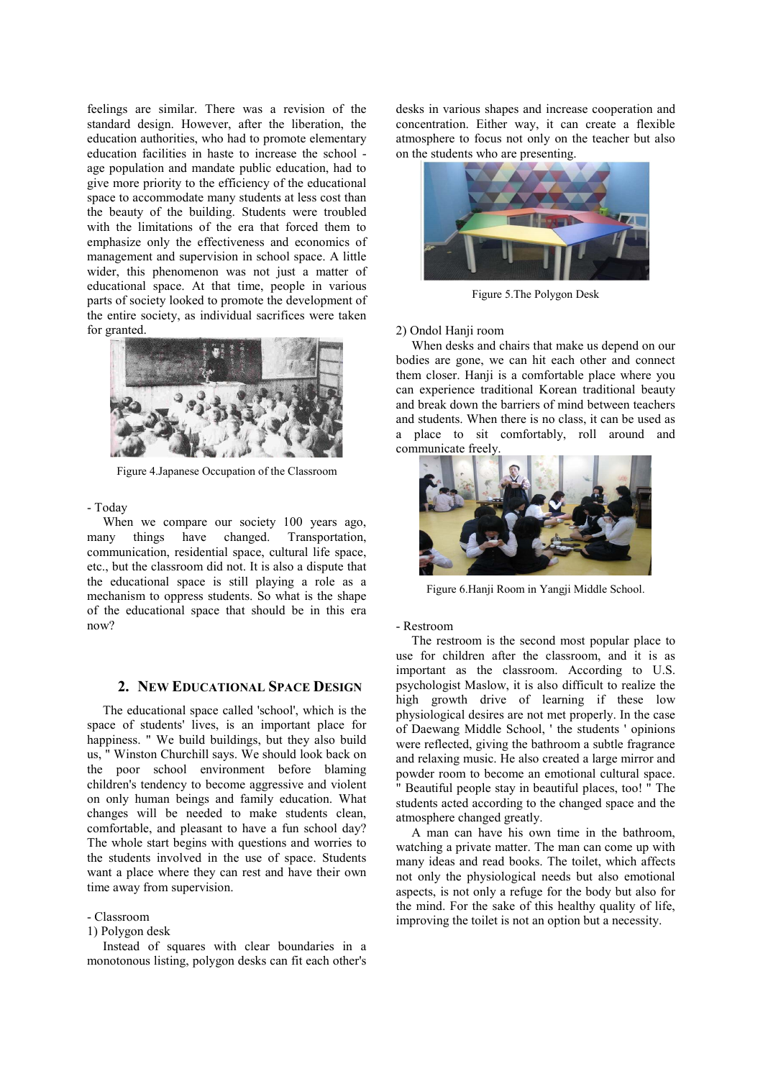feelings are similar. There was a revision of the standard design. However, after the liberation, the education authorities, who had to promote elementary education facilities in haste to increase the school age population and mandate public education, had to give more priority to the efficiency of the educational space to accommodate many students at less cost than the beauty of the building. Students were troubled with the limitations of the era that forced them to emphasize only the effectiveness and economics of management and supervision in school space. A little wider, this phenomenon was not just a matter of educational space. At that time, people in various parts of society looked to promote the development of the entire society, as individual sacrifices were taken for granted.



Figure 4.Japanese Occupation of the Classroom

#### - Today

When we compare our society 100 years ago, many things have changed. Transportation, communication, residential space, cultural life space, etc., but the classroom did not. It is also a dispute that the educational space is still playing a role as a mechanism to oppress students. So what is the shape of the educational space that should be in this era now?

### **2. NEW EDUCATIONAL SPACE DESIGN**

The educational space called 'school', which is the space of students' lives, is an important place for happiness. " We build buildings, but they also build us, " Winston Churchill says. We should look back on the poor school environment before blaming children's tendency to become aggressive and violent on only human beings and family education. What changes will be needed to make students clean, comfortable, and pleasant to have a fun school day? The whole start begins with questions and worries to the students involved in the use of space. Students want a place where they can rest and have their own time away from supervision.

- Classroom

## 1) Polygon desk

Instead of squares with clear boundaries in a monotonous listing, polygon desks can fit each other's desks in various shapes and increase cooperation and concentration. Either way, it can create a flexible atmosphere to focus not only on the teacher but also on the students who are presenting.



Figure 5.The Polygon Desk

#### 2) Ondol Hanji room

When desks and chairs that make us depend on our bodies are gone, we can hit each other and connect them closer. Hanji is a comfortable place where you can experience traditional Korean traditional beauty and break down the barriers of mind between teachers and students. When there is no class, it can be used as a place to sit comfortably, roll around and communicate freely.



Figure 6.Hanji Room in Yangji Middle School.

- Restroom

The restroom is the second most popular place to use for children after the classroom, and it is as important as the classroom. According to U.S. psychologist Maslow, it is also difficult to realize the high growth drive of learning if these low physiological desires are not met properly. In the case of Daewang Middle School, ' the students ' opinions were reflected, giving the bathroom a subtle fragrance and relaxing music. He also created a large mirror and powder room to become an emotional cultural space. " Beautiful people stay in beautiful places, too! " The students acted according to the changed space and the atmosphere changed greatly.

A man can have his own time in the bathroom, watching a private matter. The man can come up with many ideas and read books. The toilet, which affects not only the physiological needs but also emotional aspects, is not only a refuge for the body but also for the mind. For the sake of this healthy quality of life, improving the toilet is not an option but a necessity.